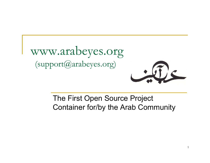

### The First Open Source Project Container for/by the Arab Community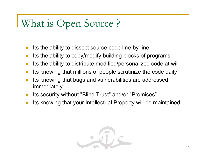### What is Open Source ?

- m. Its the ability to dissect source code line-by-line
- T Its the ability to copy/modify building blocks of programs
- m, Its the ability to distribute modified/personalized code at will
- m. Its knowing that millions of people scrutinize the code daily
- **Ta**  Its knowing that bugs and vulnerabilities are addressed immediately
- $\mathbb{R}^n$ Its security without "Blind Trust" and/or "Promises"
- $\overline{\phantom{a}}$ Its knowing that your Intellectual Property will be maintained

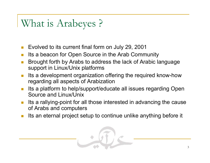### What is Arabeyes ?

- П Evolved to its current final form on July 29, 2001
- T Its a beacon for Open Source in the Arab Community
- П Brought forth by Arabs to address the lack of Arabic language support in Linux/Unix platforms
- **I**  Its a development organization offering the required know-how regarding all aspects of Arabization
- П Its a platform to help/support/educate all issues regarding Open Source and Linux/Unix
- $\overline{\phantom{a}}$  Its a rallying-point for all those interested in advancing the cause of Arabs and computers
- П Its an eternal project setup to continue unlike anything before it

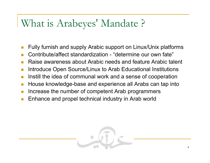### What is Arabeyes' Mandate ?

- П Fully furnish and supply Arabic support on Linux/Unix platforms
- T Contribute/affect standardization - "determine our own fate"
- П Raise awareness about Arabic needs and feature Arabic talent
- T Introduce Open Source/Linux to Arab Educational Institutions
- П Instill the idea of communal work and a sense of cooperation
- T House knowledge-base and experience all Arabs can tap into
- П Increase the number of competent Arab programmers
- T Enhance and propel technical industry in Arab world

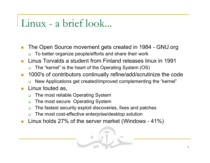### Linux - a brief look...

- П The Open Source movement gets created in 1984 - GNU.org
	- ❏ To better organize people/efforts and share their work
- $\overline{\mathbb{R}^n}$  Linus Torvalds a student from Finland releases linux in 1991
	- ❏ The "kernel" is the heart of the Operating System (OS)
- П 1000's of contributors continually refine/add/scrutinize the code
	- ❏ New Applications get created/improved complementing the "kernel"

### Linux touted as,

- $\Box$ The most reliable Operating System
- $\Box$ The most secure Operating System
- $\Box$ The fastest security exploit discoveries, fixes and patches
- ❏ The most cost-effective enterprise/desktop solution
- П Linux holds 27% of the server market (Windows - 41%)

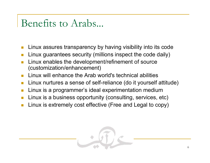### Benefits to Arabs...

- П Linux assures transparency by having visibility into its code
- T Linux guarantees security (millions inspect the code daily)
- П Linux enables the development/refinement of source (customization/enhancement)
- П Linux will enhance the Arab world's technical abilities
- П Linux nurtures a sense of self-reliance (do it yourself attitude)
- П Linux is a programmer's ideal experimentation medium
- П Linux is a business opportunity (consulting, services, etc)
- П Linux is extremely cost effective (Free and Legal to copy)

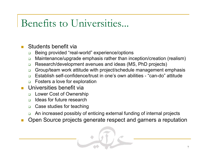### Benefits to Universities...

#### П Students benefit via

- $\Box$ Being provided "real-world" experience/options
- $\Box$ Maintenance/upgrade emphasis rather than inception/creation (realism)
- $\Box$ Research/development avenues and ideas (MS, PhD projects)
- $\Box$ Group/team work attitude with project/schedule management emphasis
- ❏ Establish self-confidence/trust in one's own abilities - "can-do" attitude
- $\Box$ Fosters a love for exploration
- П Universities benefit via
	- ❏ Lower Cost of Ownership
	- ❏ Ideas for future research
	- $\Box$ Case studies for teaching
	- $\Box$ An increased possibly of enticing external funding of internal projects
- Open Source projects generate respect and garners a reputation

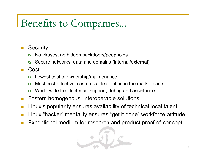### Benefits to Companies...

#### П **Security**

- ❏ No viruses, no hidden backdoors/peepholes
- $\Box$ Secure networks, data and domains (internal/external)

#### П Cost

- ❏ Lowest cost of ownership/maintenance
- $\Box$ Most cost effective, customizable solution in the marketplace
- $\Box$ World-wide free technical support, debug and assistance
- П Fosters homogenous, interoperable solutions
- T Linux's popularity ensures availability of technical local talent
- П Linux "hacker" mentality ensures "get it done" workforce attitude
- П Exceptional medium for research and product proof-of-concept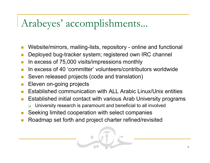### Arabeyes' accomplishments...

- П Website/mirrors, mailing-lists, repository - online and functional
- T Deployed bug-tracker system; registered own IRC channel
- П In excess of 75,000 visits/impressions monthly
- T In excess of 40 'committer' volunteers/contributors worldwide
- П Seven released projects (code and translation)
- T Eleven on-going projects
- П Established communication with ALL Arabic Linux/Unix entities
- T Established initial contact with various Arab University programs
	- ❏ University research is paramount and beneficial to all involved
- П Seeking limited cooperation with select companies
- П Roadmap set forth and project charter refined/revisited

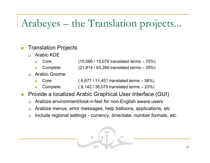# Arabeyes – the Translation projects...

#### П Translation Projects

- $\Box$  Arabic KDE
	- Core (10,566 / 15,079 translated terms 70%)
	- Complete (21,814 / 63,266 translated terms 35%)
- $\Box$  Arabic Gnome
	- Core ( 6,677 / 11,451 translated terms 58%)
	- Complete ( 8,142 / 36,075 translated terms 23%)
- П Provide a localized Arabic Graphical User Interface (GUI)
	- $\Box$ Arabize environment/look-n-feel for non-English aware users
	- $\Box$ Arabize menus, error messages, help balloons, applications, etc
	- $\Box$ Include regional settings - currency, time/date, number formats, etc

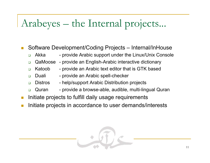## Arabeyes – the Internal projects...

- П Software Development/Coding Projects – Internal/InHouse
	- $\Box$ Akka - provide Arabic support under the Linux/Unix Console
	- $\Box$ QaMoose - provide an English-Arabic interactive dictionary
	- $\Box$ Katoob - provide an Arabic text editor that is GTK based
		- Duali provide an Arabic spell-checker

 $\Box$ 

- $\Box$ Distros - help/support Arabic Distribution projects
- $\Box$ Quran - provide a browse-able, audible, multi-lingual Quran
- T Initiate projects to fulfill daily usage requirements
- П Initiate projects in accordance to user demands/interests

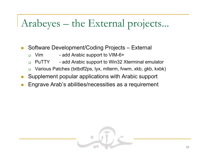### Arabeyes – the External projects...

- П Software Development/Coding Projects – External
	- $\Box$ Vim - add Arabic support to VIM-6+
	- $\Box$ PuTTY - add Arabic support to Win32 Xterminal emulator
	- ❏ Various Patches (txtbdf2ps, lyx, mlterm, fvwm, xkb, gkb, kxbk)
- T Supplement popular applications with Arabic support
- П Engrave Arab's abilities/necessities as a requirement

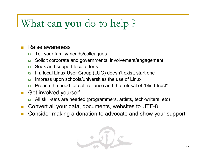### What can **you** do to help ?

#### П Raise awareness

- $\Box$ Tell your family/friends/colleagues
- $\Box$ Solicit corporate and governmental involvement/engagement
- $\Box$ Seek and support local efforts
- $\Box$ If a local Linux User Group (LUG) doesn't exist, start one
- $\Box$ Impress upon schools/universities the use of Linux
- ❏ Preach the need for self-reliance and the refusal of "blind-trust"
- П Get involved yourself
	- ❏ All skill-sets are needed (programmers, artists, tech-writers, etc)
- П Convert all your data, documents, websites to UTF-8
- П Consider making a donation to advocate and show your support